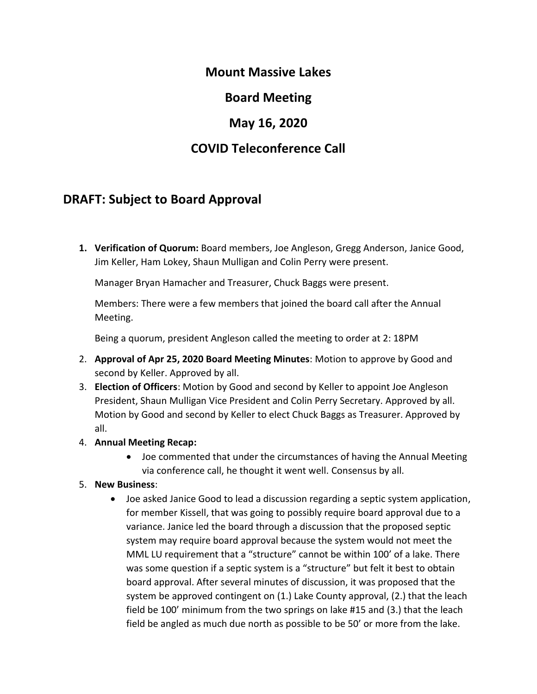## **Mount Massive Lakes**

**Board Meeting**

## **May 16, 2020**

## **COVID Teleconference Call**

## **DRAFT: Subject to Board Approval**

**1. Verification of Quorum:** Board members, Joe Angleson, Gregg Anderson, Janice Good, Jim Keller, Ham Lokey, Shaun Mulligan and Colin Perry were present.

Manager Bryan Hamacher and Treasurer, Chuck Baggs were present.

Members: There were a few members that joined the board call after the Annual Meeting.

Being a quorum, president Angleson called the meeting to order at 2: 18PM

- 2. **Approval of Apr 25, 2020 Board Meeting Minutes**: Motion to approve by Good and second by Keller. Approved by all.
- 3. **Election of Officers**: Motion by Good and second by Keller to appoint Joe Angleson President, Shaun Mulligan Vice President and Colin Perry Secretary. Approved by all. Motion by Good and second by Keller to elect Chuck Baggs as Treasurer. Approved by all.
- 4. **Annual Meeting Recap:**
	- Joe commented that under the circumstances of having the Annual Meeting via conference call, he thought it went well. Consensus by all.
- 5. **New Business**:
	- Joe asked Janice Good to lead a discussion regarding a septic system application, for member Kissell, that was going to possibly require board approval due to a variance. Janice led the board through a discussion that the proposed septic system may require board approval because the system would not meet the MML LU requirement that a "structure" cannot be within 100' of a lake. There was some question if a septic system is a "structure" but felt it best to obtain board approval. After several minutes of discussion, it was proposed that the system be approved contingent on (1.) Lake County approval, (2.) that the leach field be 100' minimum from the two springs on lake #15 and (3.) that the leach field be angled as much due north as possible to be 50' or more from the lake.